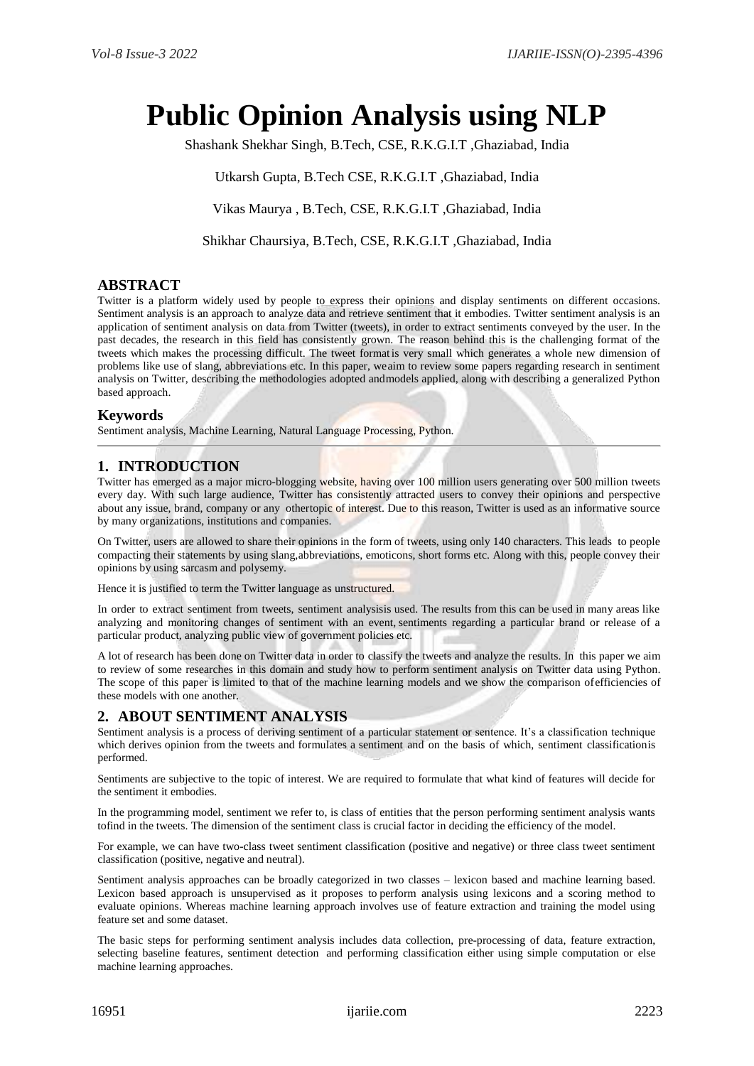# **Public Opinion Analysis using NLP**

Shashank Shekhar Singh, B.Tech, CSE, R.K.G.I.T ,Ghaziabad, India

Utkarsh Gupta, B.Tech CSE, R.K.G.I.T ,Ghaziabad, India

Vikas Maurya , B.Tech, CSE, R.K.G.I.T ,Ghaziabad, India

Shikhar Chaursiya, B.Tech, CSE, R.K.G.I.T ,Ghaziabad, India

## **ABSTRACT**

Twitter is a platform widely used by people to express their opinions and display sentiments on different occasions. Sentiment analysis is an approach to analyze data and retrieve sentiment that it embodies. Twitter sentiment analysis is an application of sentiment analysis on data from Twitter (tweets), in order to extract sentiments conveyed by the user. In the past decades, the research in this field has consistently grown. The reason behind this is the challenging format of the tweets which makes the processing difficult. The tweet format is very small which generates a whole new dimension of problems like use of slang, abbreviations etc. In this paper, weaim to review some papers regarding research in sentiment analysis on Twitter, describing the methodologies adopted andmodels applied, along with describing a generalized Python based approach.

#### **Keywords**

Sentiment analysis, Machine Learning, Natural Language Processing, Python.

# **1. INTRODUCTION**

Twitter has emerged as a major micro-blogging website, having over 100 million users generating over 500 million tweets every day. With such large audience, Twitter has consistently attracted users to convey their opinions and perspective about any issue, brand, company or any othertopic of interest. Due to this reason, Twitter is used as an informative source by many organizations, institutions and companies.

On Twitter, users are allowed to share their opinions in the form of tweets, using only 140 characters. This leads to people compacting their statements by using slang,abbreviations, emoticons, short forms etc. Along with this, people convey their opinions by using sarcasm and polysemy.

Hence it is justified to term the Twitter language as unstructured.

In order to extract sentiment from tweets, sentiment analysisis used. The results from this can be used in many areas like analyzing and monitoring changes of sentiment with an event, sentiments regarding a particular brand or release of a particular product, analyzing public view of government policies etc.

A lot of research has been done on Twitter data in order to classify the tweets and analyze the results. In this paper we aim to review of some researches in this domain and study how to perform sentiment analysis on Twitter data using Python. The scope of this paper is limited to that of the machine learning models and we show the comparison ofefficiencies of these models with one another.

## **2. ABOUT SENTIMENT ANALYSIS**

Sentiment analysis is a process of deriving sentiment of a particular statement or sentence. It's a classification technique which derives opinion from the tweets and formulates a sentiment and on the basis of which, sentiment classificationis performed.

Sentiments are subjective to the topic of interest. We are required to formulate that what kind of features will decide for the sentiment it embodies.

In the programming model, sentiment we refer to, is class of entities that the person performing sentiment analysis wants tofind in the tweets. The dimension of the sentiment class is crucial factor in deciding the efficiency of the model.

For example, we can have two-class tweet sentiment classification (positive and negative) or three class tweet sentiment classification (positive, negative and neutral).

Sentiment analysis approaches can be broadly categorized in two classes – lexicon based and machine learning based. Lexicon based approach is unsupervised as it proposes to perform analysis using lexicons and a scoring method to evaluate opinions. Whereas machine learning approach involves use of feature extraction and training the model using feature set and some dataset.

The basic steps for performing sentiment analysis includes data collection, pre-processing of data, feature extraction, selecting baseline features, sentiment detection and performing classification either using simple computation or else machine learning approaches.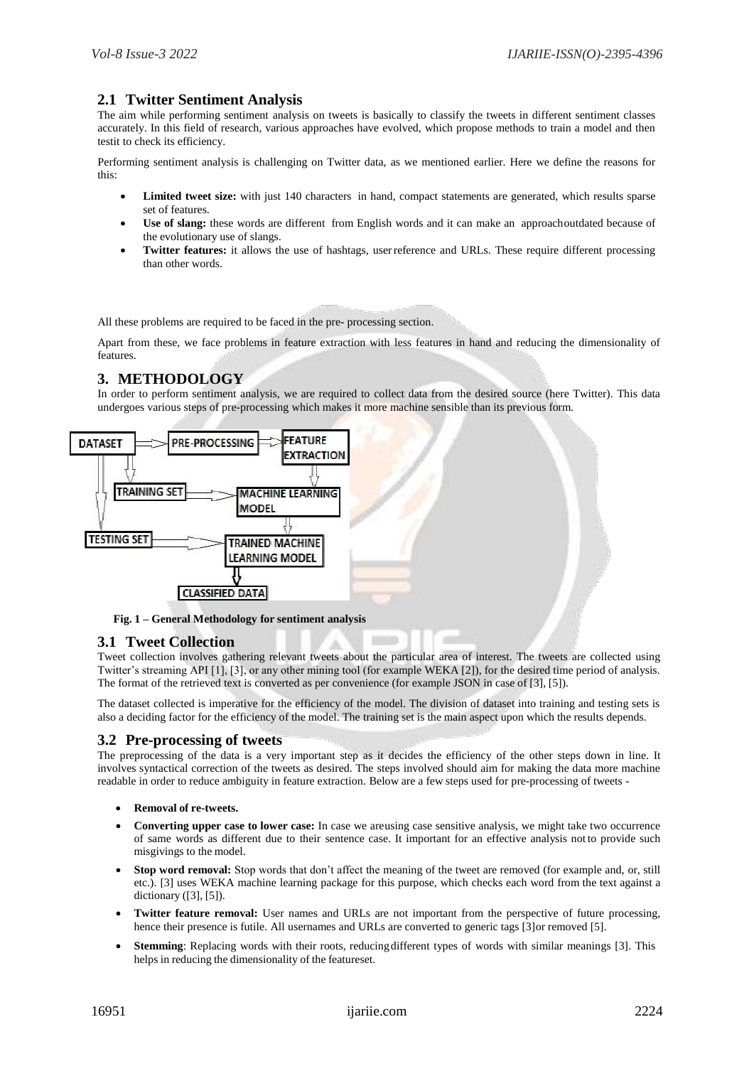## **2.1 Twitter Sentiment Analysis**

The aim while performing sentiment analysis on tweets is basically to classify the tweets in different sentiment classes accurately. In this field of research, various approaches have evolved, which propose methods to train a model and then testit to check its efficiency.

Performing sentiment analysis is challenging on Twitter data, as we mentioned earlier. Here we define the reasons for this:

- **Limited tweet size:** with just 140 characters in hand, compact statements are generated, which results sparse set of features.
- **Use of slang:** these words are different from English words and it can make an approachoutdated because of the evolutionary use of slangs.
- **Twitter features:** it allows the use of hashtags, userreference and URLs. These require different processing than other words.

All these problems are required to be faced in the pre- processing section.

Apart from these, we face problems in feature extraction with less features in hand and reducing the dimensionality of features.

## **3. METHODOLOGY**

In order to perform sentiment analysis, we are required to collect data from the desired source (here Twitter). This data undergoes various steps of pre-processing which makes it more machine sensible than its previous form.



**Fig. 1 – General Methodology for sentiment analysis**

#### **3.1 Tweet Collection**

Tweet collection involves gathering relevant tweets about the particular area of interest. The tweets are collected using Twitter's streaming API [1], [3], or any other mining tool (for example WEKA [2]), for the desired time period of analysis. The format of the retrieved text is converted as per convenience (for example JSON in case of [3], [5]).

The dataset collected is imperative for the efficiency of the model. The division of dataset into training and testing sets is also a deciding factor for the efficiency of the model. The training set is the main aspect upon which the results depends.

## **3.2 Pre-processing of tweets**

The preprocessing of the data is a very important step as it decides the efficiency of the other steps down in line. It involves syntactical correction of the tweets as desired. The steps involved should aim for making the data more machine readable in order to reduce ambiguity in feature extraction. Below are a few steps used for pre-processing of tweets -

- **Removal of re-tweets.**
- **Converting upper case to lower case:** In case we areusing case sensitive analysis, we might take two occurrence of same words as different due to their sentence case. It important for an effective analysis not to provide such misgivings to the model.
- **Stop word removal:** Stop words that don't affect the meaning of the tweet are removed (for example and, or, still etc.). [3] uses WEKA machine learning package for this purpose, which checks each word from the text against a dictionary ([3], [5]).
- **Twitter feature removal:** User names and URLs are not important from the perspective of future processing, hence their presence is futile. All usernames and URLs are converted to generic tags [3]or removed [5].
- **Stemming**: Replacing words with their roots, reducingdifferent types of words with similar meanings [3]. This helps in reducing the dimensionality of the featureset.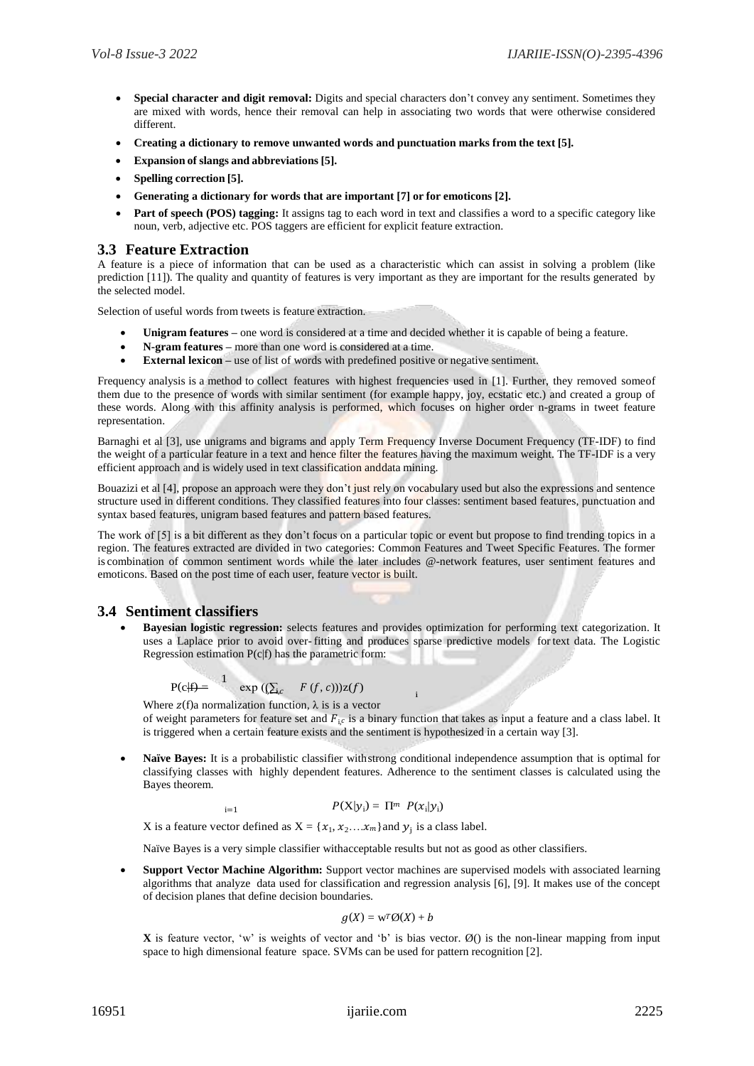- **Special character and digit removal:** Digits and special characters don't convey any sentiment. Sometimes they are mixed with words, hence their removal can help in associating two words that were otherwise considered different.
- **Creating a dictionary to remove unwanted words and punctuation marks from the text [5].**
- **Expansion of slangs and abbreviations [5].**
- **Spelling correction [5].**
- **Generating a dictionary for words that are important [7] or for emoticons [2].**
- **Part of speech (POS) tagging:** It assigns tag to each word in text and classifies a word to a specific category like noun, verb, adjective etc. POS taggers are efficient for explicit feature extraction.

#### **3.3 Feature Extraction**

A feature is a piece of information that can be used as a characteristic which can assist in solving a problem (like prediction [11]). The quality and quantity of features is very important as they are important for the results generated by the selected model.

Selection of useful words from tweets is feature extraction.

- **Unigram features –** one word is considered at a time and decided whether it is capable of being a feature.
- **N-gram features –** more than one word is considered at a time.
- **External lexicon use of list of words with predefined positive or negative sentiment.**

Frequency analysis is a method to collect features with highest frequencies used in [1]. Further, they removed someof them due to the presence of words with similar sentiment (for example happy, joy, ecstatic etc.) and created a group of these words. Along with this affinity analysis is performed, which focuses on higher order n-grams in tweet feature representation.

Barnaghi et al [3], use unigrams and bigrams and apply Term Frequency Inverse Document Frequency (TF-IDF) to find the weight of a particular feature in a text and hence filter the features having the maximum weight. The TF-IDF is a very efficient approach and is widely used in text classification anddata mining.

Bouazizi et al [4], propose an approach were they don't just rely on vocabulary used but also the expressions and sentence structure used in different conditions. They classified features into four classes: sentiment based features, punctuation and syntax based features, unigram based features and pattern based features.

The work of [5] is a bit different as they don't focus on a particular topic or event but propose to find trending topics in a region. The features extracted are divided in two categories: Common Features and Tweet Specific Features. The former is combination of common sentiment words while the later includes @-network features, user sentiment features and emoticons. Based on the post time of each user, feature vector is built.

## **3.4 Sentiment classifiers**

 **Bayesian logistic regression:** selects features and provides optimization for performing text categorization. It uses a Laplace prior to avoid over- fitting and produces sparse predictive models for text data. The Logistic Regression estimation  $P(c|f)$  has the parametric form:

$$
P(c|f) = \frac{1}{\exp((\sum_{j,c} F(f,c)))z(f)}
$$

Where  $z(f)$ a normalization function,  $\lambda$  is is a vector of weight parameters for feature set and  $F_i \circ$  is a binary function that takes as input a feature and a class label. It is triggered when a certain feature exists and the sentiment is hypothesized in a certain way [3].

i

 **Naïve Bayes:** It is a probabilistic classifier withstrong conditional independence assumption that is optimal for classifying classes with highly dependent features. Adherence to the sentiment classes is calculated using the Bayes theorem.

$$
P(X|y_i) = \Pi^m \ P(x_i|y_i)
$$

X is a feature vector defined as  $X = \{x_1, x_2, \ldots, x_m\}$  and  $y_j$  is a class label.

Naïve Bayes is a very simple classifier withacceptable results but not as good as other classifiers.

 **Support Vector Machine Algorithm:** Support vector machines are supervised models with associated learning algorithms that analyze data used for classification and regression analysis [6], [9]. It makes use of the concept of decision planes that define decision boundaries.

$$
g(X) = \mathbf{w}^T \mathcal{O}(X) + b
$$

**X** is feature vector, 'w' is weights of vector and 'b' is bias vector.  $\emptyset$  () is the non-linear mapping from input space to high dimensional feature space. SVMs can be used for pattern recognition [2].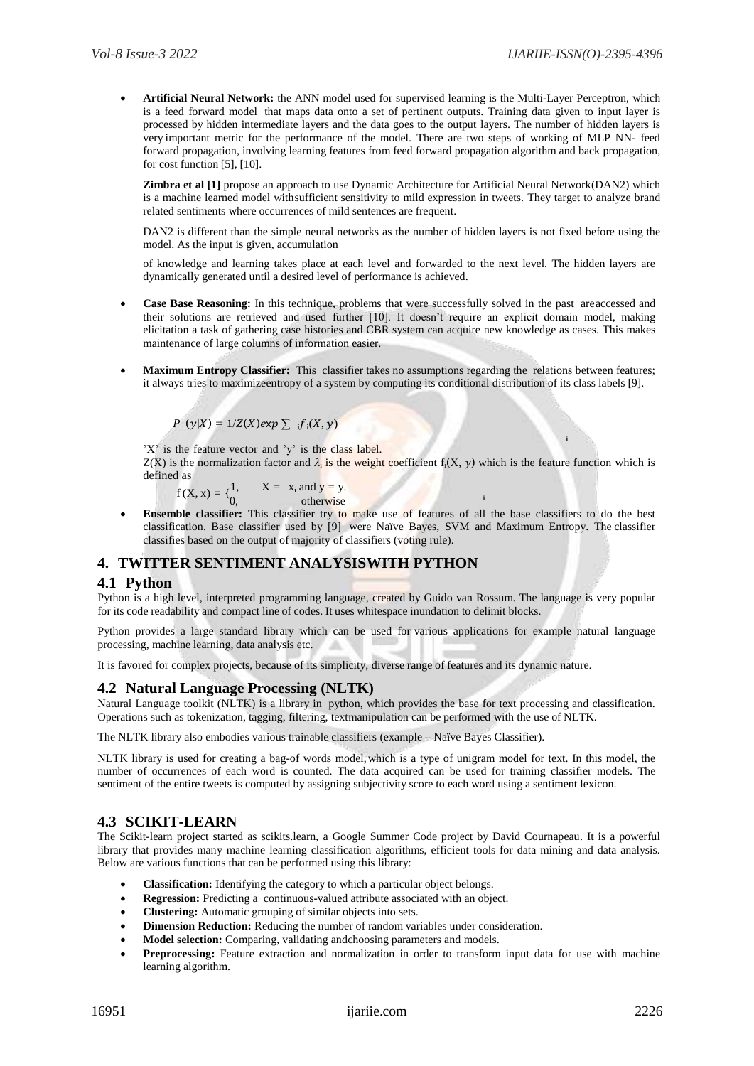**Artificial Neural Network:** the ANN model used for supervised learning is the Multi-Layer Perceptron, which is a feed forward model that maps data onto a set of pertinent outputs. Training data given to input layer is processed by hidden intermediate layers and the data goes to the output layers. The number of hidden layers is very important metric for the performance of the model. There are two steps of working of MLP NN- feed forward propagation, involving learning features from feed forward propagation algorithm and back propagation, for cost function [5], [10].

**Zimbra et al [1]** propose an approach to use Dynamic Architecture for Artificial Neural Network(DAN2) which is a machine learned model withsufficient sensitivity to mild expression in tweets. They target to analyze brand related sentiments where occurrences of mild sentences are frequent.

DAN2 is different than the simple neural networks as the number of hidden layers is not fixed before using the model. As the input is given, accumulation

of knowledge and learning takes place at each level and forwarded to the next level. The hidden layers are dynamically generated until a desired level of performance is achieved.

- **Case Base Reasoning:** In this technique, problems that were successfully solved in the past areaccessed and their solutions are retrieved and used further [10]. It doesn't require an explicit domain model, making elicitation a task of gathering case histories and CBR system can acquire new knowledge as cases. This makes maintenance of large columns of information easier.
- **Maximum Entropy Classifier:** This classifier takes no assumptions regarding the relations between features; it always tries to maximizeentropy of a system by computing its conditional distribution of its class labels [9].

```
P(y|X) = 1/Z(X)exp \sum_i f_i(X, y)
```
'X' is the feature vector and 'y' is the class label.

 $Z(X)$  is the normalization factor and  $\lambda_i$  is the weight coefficient  $f_i(X, y)$  which is the feature function which is defined as

i

i

 $f(X, x) = \begin{cases} 1, & X = x_i \text{ and } y = y_i \end{cases}$ 0, otherwise

**Ensemble classifier:** This classifier try to make use of features of all the base classifiers to do the best classification. Base classifier used by [9] were Naïve Bayes, SVM and Maximum Entropy. The classifier classifies based on the output of majority of classifiers (voting rule).

## **4. TWITTER SENTIMENT ANALYSISWITH PYTHON**

## **4.1 Python**

Python is a high level, interpreted programming language, created by Guido van Rossum. The language is very popular for its code readability and compact line of codes. It uses whitespace inundation to delimit blocks.

Python provides a large standard library which can be used for various applications for example natural language processing, machine learning, data analysis etc.

It is favored for complex projects, because of its simplicity, diverse range of features and its dynamic nature.

## **4.2 Natural Language Processing (NLTK)**

Natural Language toolkit (NLTK) is a library in python, which provides the base for text processing and classification. Operations such as tokenization, tagging, filtering, textmanipulation can be performed with the use of NLTK.

The NLTK library also embodies various trainable classifiers (example – Naïve Bayes Classifier).

NLTK library is used for creating a bag-of words model,which is a type of unigram model for text. In this model, the number of occurrences of each word is counted. The data acquired can be used for training classifier models. The sentiment of the entire tweets is computed by assigning subjectivity score to each word using a sentiment lexicon.

## **4.3 SCIKIT-LEARN**

The Scikit-learn project started as scikits.learn, a Google Summer Code project by David Cournapeau. It is a powerful library that provides many machine learning classification algorithms, efficient tools for data mining and data analysis. Below are various functions that can be performed using this library:

- **Classification:** Identifying the category to which a particular object belongs.
- **Regression:** Predicting a continuous-valued attribute associated with an object.
- **Clustering:** Automatic grouping of similar objects into sets.
- **Dimension Reduction:** Reducing the number of random variables under consideration.
- **Model selection:** Comparing, validating andchoosing parameters and models.
- **Preprocessing:** Feature extraction and normalization in order to transform input data for use with machine learning algorithm.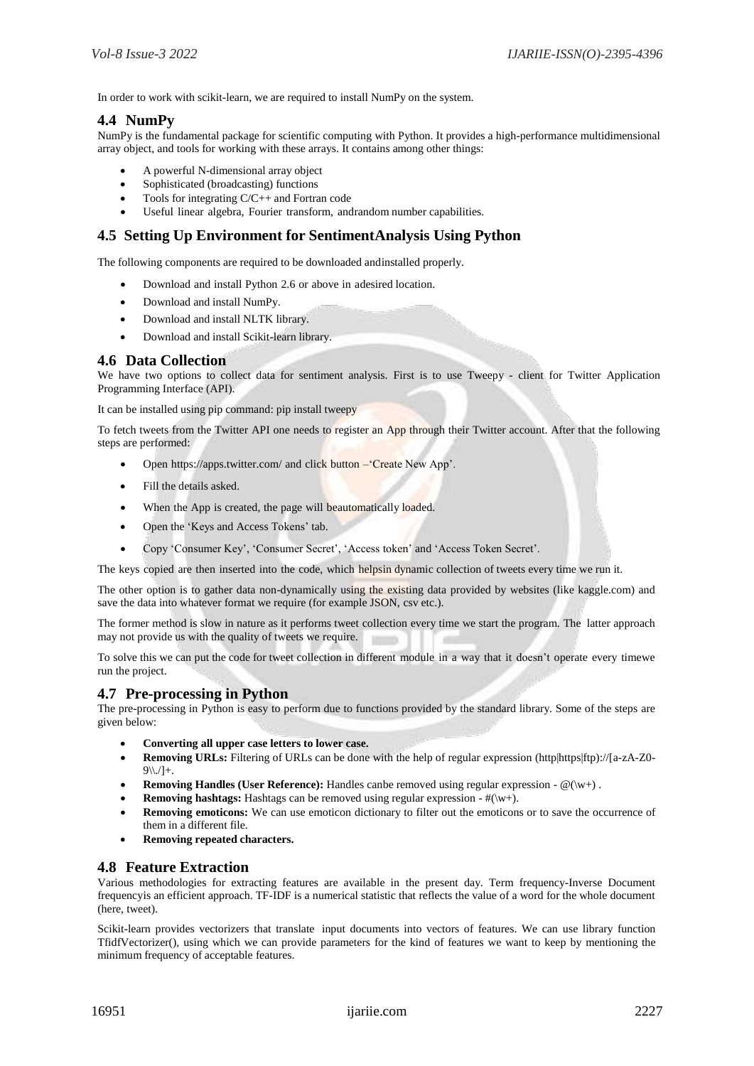In order to work with scikit-learn, we are required to install NumPy on the system.

#### **4.4 NumPy**

NumPy is the fundamental package for scientific computing with Python. It provides a high-performance multidimensional array object, and tools for working with these arrays. It contains among other things:

- A powerful N-dimensional array object
- Sophisticated (broadcasting) functions
- Tools for integrating C/C++ and Fortran code
- Useful linear algebra, Fourier transform, andrandom number capabilities.

## **4.5 Setting Up Environment for SentimentAnalysis Using Python**

The following components are required to be downloaded andinstalled properly.

- Download and install Python 2.6 or above in adesired location.
- Download and install NumPy.
- Download and install NLTK library.
- Download and install Scikit-learn library.

#### **4.6 Data Collection**

We have two options to collect data for sentiment analysis. First is to use Tweepy - client for Twitter Application Programming Interface (API).

It can be installed using pip command: pip install tweepy

To fetch tweets from the Twitter API one needs to register an App through their Twitter account. After that the following steps are performed:

- Open https://apps.twitter.com/ and click button Create New App'.
- Fill the details asked.
- When the App is created, the page will beautomatically loaded.
- Open the 'Keys and Access Tokens' tab.
- Copy 'Consumer Key', 'Consumer Secret', 'Access token' and 'Access Token Secret'.

The keys copied are then inserted into the code, which helpsin dynamic collection of tweets every time we run it.

The other option is to gather data non-dynamically using the existing data provided by websites (like kaggle.com) and save the data into whatever format we require (for example JSON, csv etc.).

The former method is slow in nature as it performs tweet collection every time we start the program. The latter approach may not provide us with the quality of tweets we require.

To solve this we can put the code for tweet collection in different module in a way that it doesn't operate every timewe run the project.

#### **4.7 Pre-processing in Python**

The pre-processing in Python is easy to perform due to functions provided by the standard library. Some of the steps are given below:

- **Converting all upper case letters to lower case.**
- **Removing URLs:** Filtering of URLs can be done with the help of regular expression (http|https|ftp)://[a-zA-Z0-  $9\{\frac{1}{1}+\}$ .
- **Removing Handles (User Reference):** Handles canbe removed using regular expression @(\w+).
- **Removing hashtags:** Hashtags can be removed using regular expression  $-\#(\mathbf{w})$ .
- **Removing emoticons:** We can use emoticon dictionary to filter out the emoticons or to save the occurrence of them in a different file.
- **Removing repeated characters.**

#### **4.8 Feature Extraction**

Various methodologies for extracting features are available in the present day. Term frequency-Inverse Document frequencyis an efficient approach. TF-IDF is a numerical statistic that reflects the value of a word for the whole document (here, tweet).

Scikit-learn provides vectorizers that translate input documents into vectors of features. We can use library function TfidfVectorizer(), using which we can provide parameters for the kind of features we want to keep by mentioning the minimum frequency of acceptable features.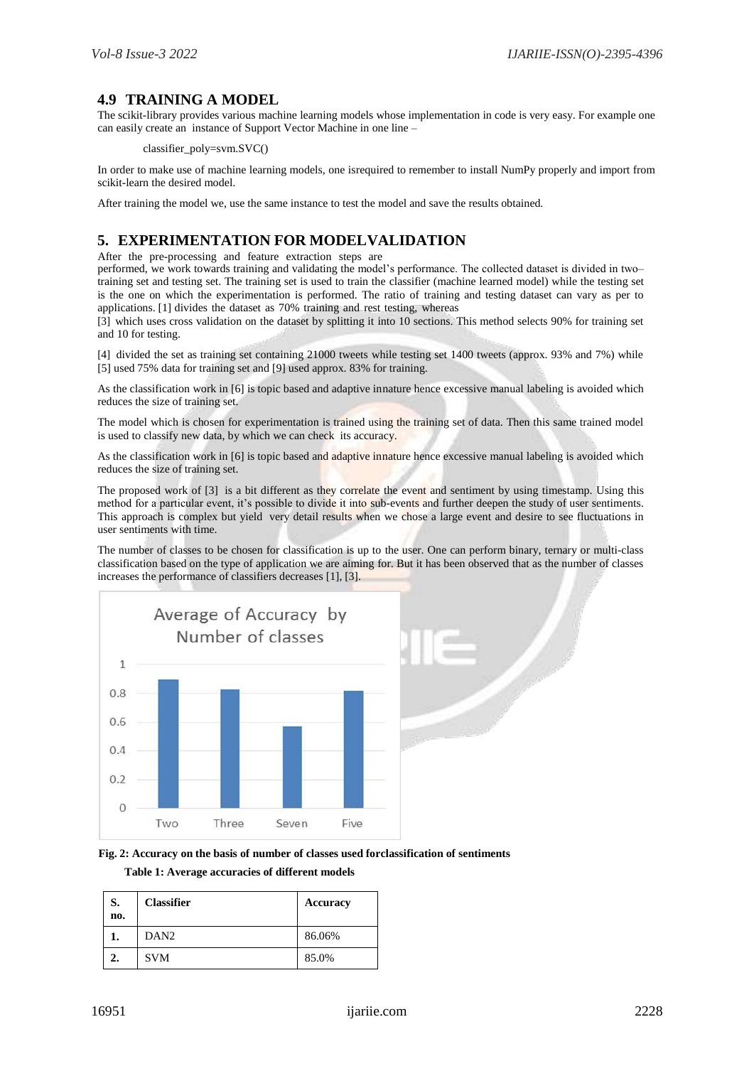# **4.9 TRAINING A MODEL**

The scikit-library provides various machine learning models whose implementation in code is very easy. For example one can easily create an instance of Support Vector Machine in one line –

classifier\_poly=svm.SVC()

In order to make use of machine learning models, one isrequired to remember to install NumPy properly and import from scikit-learn the desired model.

After training the model we, use the same instance to test the model and save the results obtained.

# **5. EXPERIMENTATION FOR MODELVALIDATION**

After the pre-processing and feature extraction steps are

performed, we work towards training and validating the model's performance. The collected dataset is divided in two– training set and testing set. The training set is used to train the classifier (machine learned model) while the testing set is the one on which the experimentation is performed. The ratio of training and testing dataset can vary as per to applications. [1] divides the dataset as 70% training and rest testing, whereas

[3] which uses cross validation on the dataset by splitting it into 10 sections. This method selects 90% for training set and 10 for testing.

[4] divided the set as training set containing 21000 tweets while testing set 1400 tweets (approx. 93% and 7%) while [5] used 75% data for training set and [9] used approx. 83% for training.

As the classification work in [6] is topic based and adaptive innature hence excessive manual labeling is avoided which reduces the size of training set.

The model which is chosen for experimentation is trained using the training set of data. Then this same trained model is used to classify new data, by which we can check its accuracy.

As the classification work in [6] is topic based and adaptive innature hence excessive manual labeling is avoided which reduces the size of training set.

The proposed work of [3] is a bit different as they correlate the event and sentiment by using timestamp. Using this method for a particular event, it's possible to divide it into sub-events and further deepen the study of user sentiments. This approach is complex but yield very detail results when we chose a large event and desire to see fluctuations in user sentiments with time.

The number of classes to be chosen for classification is up to the user. One can perform binary, ternary or multi-class classification based on the type of application we are aiming for. But it has been observed that as the number of classes increases the performance of classifiers decreases [1], [3].





**Table 1: Average accuracies of different models**

| S.<br>no. | <b>Classifier</b> | Accuracy |
|-----------|-------------------|----------|
|           | DAN <sub>2</sub>  | 86.06%   |
| 2.        | <b>SVM</b>        | 85.0%    |